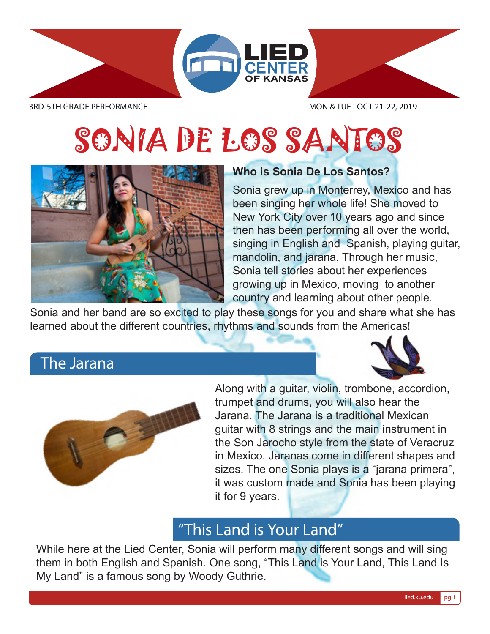

# SONIA DE LOS SANTOS



#### **Who is Sonia De Los Santos?**

Sonia grew up in Monterrey, Mexico and has been singing her whole life! She moved to New York City over 10 years ago and since then has been performing all over the world, singing in English and Spanish, playing guitar, mandolin, and jarana. Through her music, Sonia tell stories about her experiences growing up in Mexico, moving to another country and learning about other people.

Sonia and her band are so excited to play these songs for you and share what she has learned about the different countries, rhythms and sounds from the Americas!

#### The Jarana





Along with a guitar, violin, trombone, accordion, trumpet and drums, you will also hear the Jarana. The Jarana is a traditional Mexican guitar with 8 strings and the main instrument in the Son Jarocho style from the state of Veracruz in Mexico. Jaranas come in different shapes and sizes. The one Sonia plays is a "jarana primera", it was custom made and Sonia has been playing it for 9 years.

### "This Land is Your Land"

While here at the Lied Center, Sonia will perform many different songs and will sing them in both English and Spanish. One song, "This Land is Your Land, This Land Is My Land" is a famous song by Woody Guthrie.